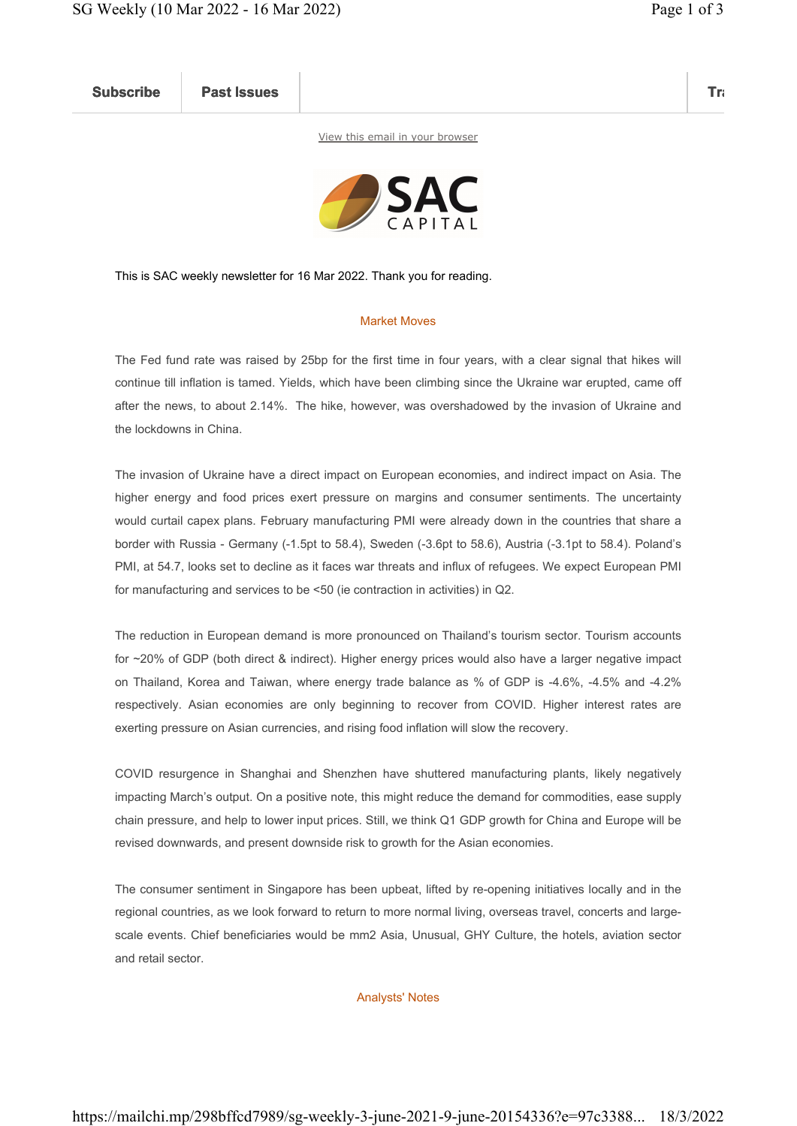Subscribe Past Issues Translate Past Issues Translate Past Issue Inc. 2014 and 2014 and 2014 and 2014 and 2014

View this email in your browser



This is SAC weekly newsletter for 16 Mar 2022. Thank you for reading.

## Market Moves

The Fed fund rate was raised by 25bp for the first time in four years, with a clear signal that hikes will continue till inflation is tamed. Yields, which have been climbing since the Ukraine war erupted, came off after the news, to about 2.14%. The hike, however, was overshadowed by the invasion of Ukraine and the lockdowns in China.

The invasion of Ukraine have a direct impact on European economies, and indirect impact on Asia. The higher energy and food prices exert pressure on margins and consumer sentiments. The uncertainty would curtail capex plans. February manufacturing PMI were already down in the countries that share a border with Russia - Germany (-1.5pt to 58.4), Sweden (-3.6pt to 58.6), Austria (-3.1pt to 58.4). Poland's PMI, at 54.7, looks set to decline as it faces war threats and influx of refugees. We expect European PMI for manufacturing and services to be <50 (ie contraction in activities) in Q2.

The reduction in European demand is more pronounced on Thailand's tourism sector. Tourism accounts for ~20% of GDP (both direct & indirect). Higher energy prices would also have a larger negative impact on Thailand, Korea and Taiwan, where energy trade balance as % of GDP is -4.6%, -4.5% and -4.2% respectively. Asian economies are only beginning to recover from COVID. Higher interest rates are exerting pressure on Asian currencies, and rising food inflation will slow the recovery.

COVID resurgence in Shanghai and Shenzhen have shuttered manufacturing plants, likely negatively impacting March's output. On a positive note, this might reduce the demand for commodities, ease supply chain pressure, and help to lower input prices. Still, we think Q1 GDP growth for China and Europe will be revised downwards, and present downside risk to growth for the Asian economies.

The consumer sentiment in Singapore has been upbeat, lifted by re-opening initiatives locally and in the regional countries, as we look forward to return to more normal living, overseas travel, concerts and largescale events. Chief beneficiaries would be mm2 Asia, Unusual, GHY Culture, the hotels, aviation sector and retail sector.

## Analysts' Notes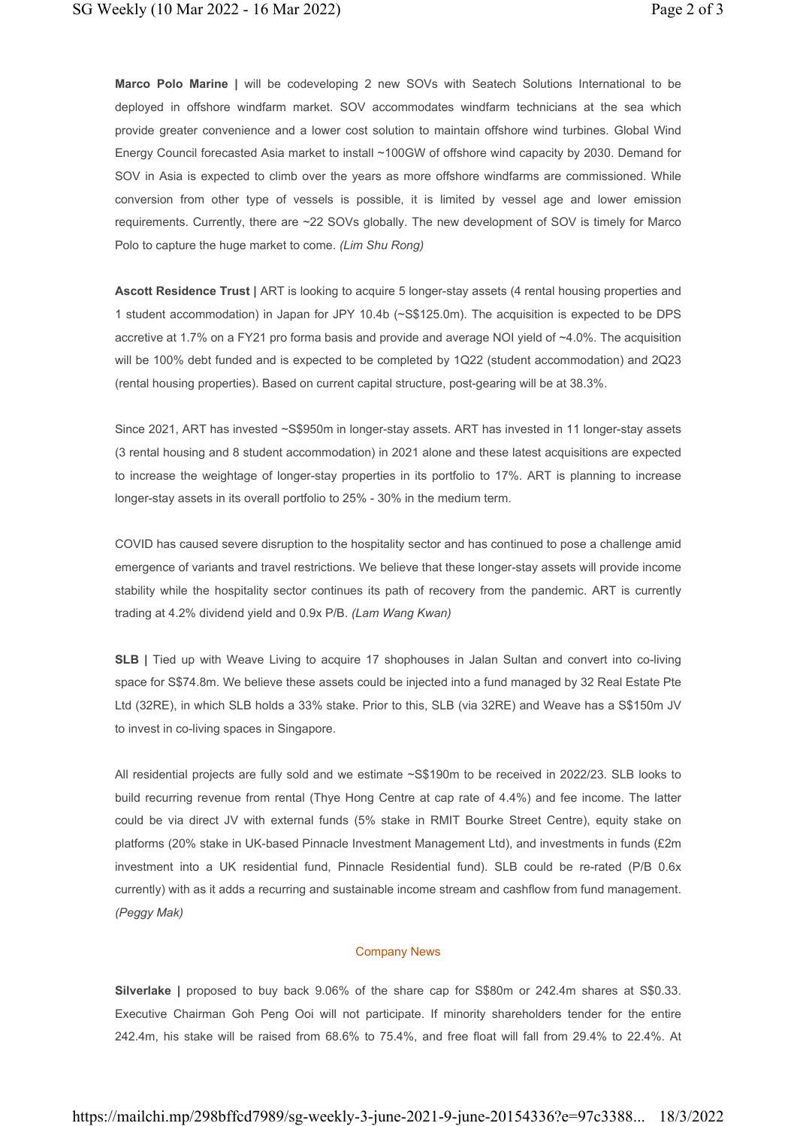Marco Polo Marine | will be codeveloping 2 new SOVs with Seatech Solutions International to be deployed in offshore windfarm market. SOV accommodates windfarm technicians at the sea which provide greater convenience and a lower cost solution to maintain offshore wind turbines. Global Wind Energy Council forecasted Asia market to install ~100GW of offshore wind capacity by 2030. Demand for SOV in Asia is expected to climb over the years as more offshore windfarms are commissioned. While conversion from other type of vessels is possible, it is limited by vessel age and lower emission requirements. Currently, there are ~22 SOVs globally. The new development of SOV is timely for Marco Polo to capture the huge market to come. (Lim Shu Rong)

Ascott Residence Trust | ART is looking to acquire 5 longer-stay assets (4 rental housing properties and 1 student accommodation) in Japan for JPY 10.4b (~S\$125.0m). The acquisition is expected to be DPS accretive at 1.7% on a FY21 pro forma basis and provide and average NOI yield of ~4.0%. The acquisition will be 100% debt funded and is expected to be completed by 1Q22 (student accommodation) and 2Q23 (rental housing properties). Based on current capital structure, post-gearing will be at 38.3%.

Since 2021, ART has invested ~S\$950m in longer-stay assets. ART has invested in 11 longer-stay assets (3 rental housing and 8 student accommodation) in 2021 alone and these latest acquisitions are expected to increase the weightage of longer-stay properties in its portfolio to 17%. ART is planning to increase longer-stay assets in its overall portfolio to 25% - 30% in the medium term.

COVID has caused severe disruption to the hospitality sector and has continued to pose a challenge amid emergence of variants and travel restrictions. We believe that these longer-stay assets will provide income stability while the hospitality sector continues its path of recovery from the pandemic. ART is currently trading at 4.2% dividend yield and 0.9x P/B. (Lam Wang Kwan)

**SLB** | Tied up with Weave Living to acquire 17 shophouses in Jalan Sultan and convert into co-living space for S\$74.8m. We believe these assets could be injected into a fund managed by 32 Real Estate Pte Ltd (32RE), in which SLB holds a 33% stake. Prior to this, SLB (via 32RE) and Weave has a S\$150m JV to invest in co-living spaces in Singapore.

All residential projects are fully sold and we estimate ~S\$190m to be received in 2022/23. SLB looks to build recurring revenue from rental (Thye Hong Centre at cap rate of 4.4%) and fee income. The latter could be via direct JV with external funds (5% stake in RMIT Bourke Street Centre), equity stake on platforms (20% stake in UK-based Pinnacle Investment Management Ltd), and investments in funds (£2m investment into a UK residential fund, Pinnacle Residential fund). SLB could be re-rated (P/B 0.6x currently) with as it adds a recurring and sustainable income stream and cashflow from fund management. (Peggy Mak)

## Company News

Silverlake | proposed to buy back 9.06% of the share cap for S\$80m or 242.4m shares at S\$0.33. Executive Chairman Goh Peng Ooi will not participate. If minority shareholders tender for the entire 242.4m, his stake will be raised from 68.6% to 75.4%, and free float will fall from 29.4% to 22.4%. At